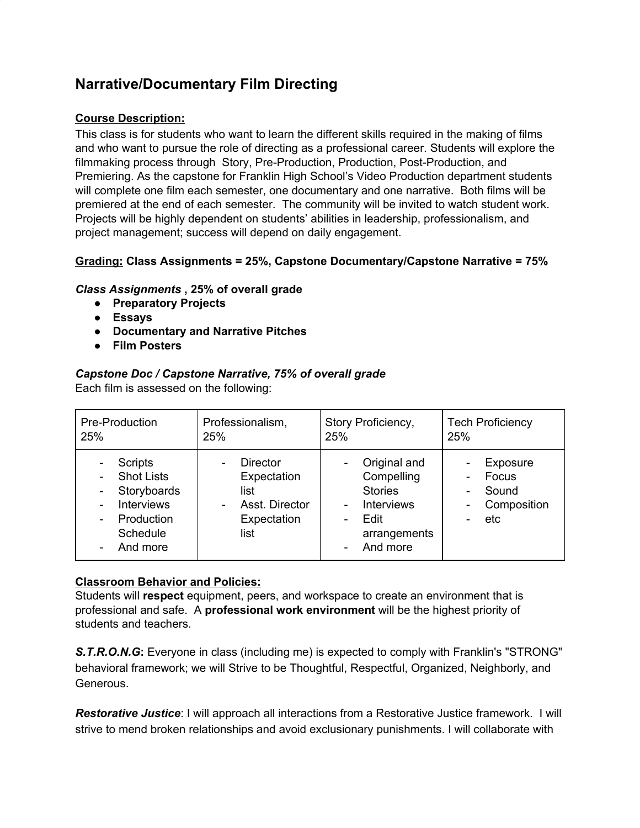# **Narrative/Documentary Film Directing**

# **Course Description:**

This class is for students who want to learn the different skills required in the making of films and who want to pursue the role of directing as a professional career. Students will explore the filmmaking process through Story, Pre-Production, Production, Post-Production, and Premiering. As the capstone for Franklin High School's Video Production department students will complete one film each semester, one documentary and one narrative. Both films will be premiered at the end of each semester. The community will be invited to watch student work. Projects will be highly dependent on students' abilities in leadership, professionalism, and project management; success will depend on daily engagement.

## **Grading: Class Assignments = 25%, Capstone Documentary/Capstone Narrative = 75%**

## *Class Assignments* **, 25% of overall grade**

- **● Preparatory Projects**
- **● Essays**
- **● Documentary and Narrative Pitches**
- **● Film Posters**

# *Capstone Doc / Capstone Narrative, 75% of overall grade*

Each film is assessed on the following:

| Pre-Production                                                                                         | Professionalism,                                                                | Story Proficiency,                                                                                                                                            | <b>Tech Proficiency</b>                          |
|--------------------------------------------------------------------------------------------------------|---------------------------------------------------------------------------------|---------------------------------------------------------------------------------------------------------------------------------------------------------------|--------------------------------------------------|
| 25%                                                                                                    | 25%                                                                             | 25%                                                                                                                                                           | 25%                                              |
| Scripts<br><b>Shot Lists</b><br>Storyboards<br><b>Interviews</b><br>Production<br>Schedule<br>And more | <b>Director</b><br>Expectation<br>list<br>Asst. Director<br>Expectation<br>list | Original and<br>$\overline{\phantom{a}}$<br>Compelling<br><b>Stories</b><br><b>Interviews</b><br>$\blacksquare$<br>Edit<br>-<br>arrangements<br>And more<br>۰ | Exposure<br>Focus<br>Sound<br>Composition<br>etc |

### **Classroom Behavior and Policies:**

Students will **respect** equipment, peers, and workspace to create an environment that is professional and safe. A **professional work environment** will be the highest priority of students and teachers.

*S.T.R.O.N.G***:** Everyone in class (including me) is expected to comply with Franklin's "STRONG" behavioral framework; we will Strive to be Thoughtful, Respectful, Organized, Neighborly, and Generous.

*Restorative Justice*: I will approach all interactions from a Restorative Justice framework. I will strive to mend broken relationships and avoid exclusionary punishments. I will collaborate with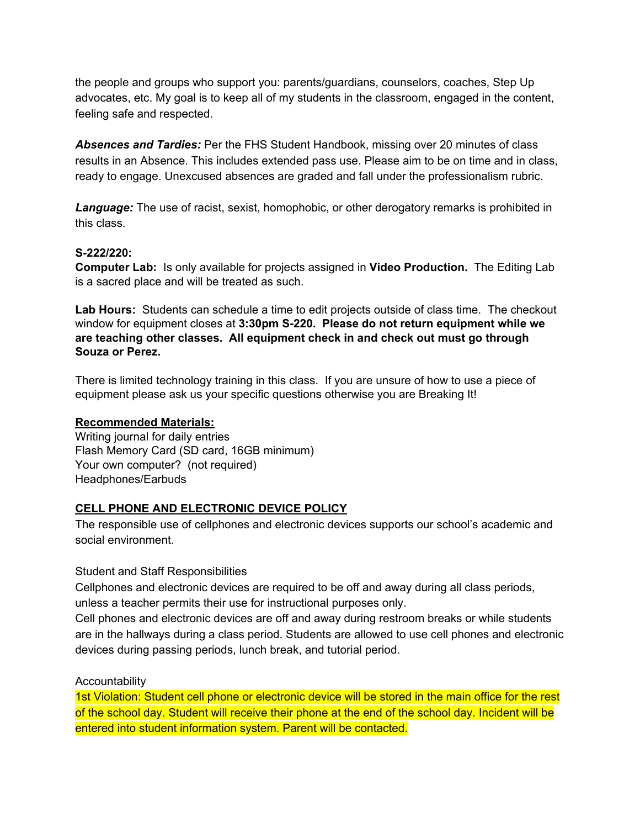the people and groups who support you: parents/guardians, counselors, coaches, Step Up advocates, etc. My goal is to keep all of my students in the classroom, engaged in the content, feeling safe and respected.

*Absences and Tardies:* Per the FHS Student Handbook, missing over 20 minutes of class results in an Absence. This includes extended pass use. Please aim to be on time and in class, ready to engage. Unexcused absences are graded and fall under the professionalism rubric.

*Language:* The use of racist, sexist, homophobic, or other derogatory remarks is prohibited in this class.

### **S-222/220:**

**Computer Lab:** Is only available for projects assigned in **Video Production.** The Editing Lab is a sacred place and will be treated as such.

**Lab Hours:** Students can schedule a time to edit projects outside of class time. The checkout window for equipment closes at **3:30pm S-220. Please do not return equipment while we are teaching other classes. All equipment check in and check out must go through Souza or Perez.**

There is limited technology training in this class. If you are unsure of how to use a piece of equipment please ask us your specific questions otherwise you are Breaking It!

#### **Recommended Materials:**

Writing journal for daily entries Flash Memory Card (SD card, 16GB minimum) Your own computer? (not required) Headphones/Earbuds

## **CELL PHONE AND ELECTRONIC DEVICE POLICY**

The responsible use of cellphones and electronic devices supports our school's academic and social environment.

#### Student and Staff Responsibilities

Cellphones and electronic devices are required to be off and away during all class periods, unless a teacher permits their use for instructional purposes only.

Cell phones and electronic devices are off and away during restroom breaks or while students are in the hallways during a class period. Students are allowed to use cell phones and electronic devices during passing periods, lunch break, and tutorial period.

#### **Accountability**

1st Violation: Student cell phone or electronic device will be stored in the main office for the rest of the school day. Student will receive their phone at the end of the school day. Incident will be entered into student information system. Parent will be contacted.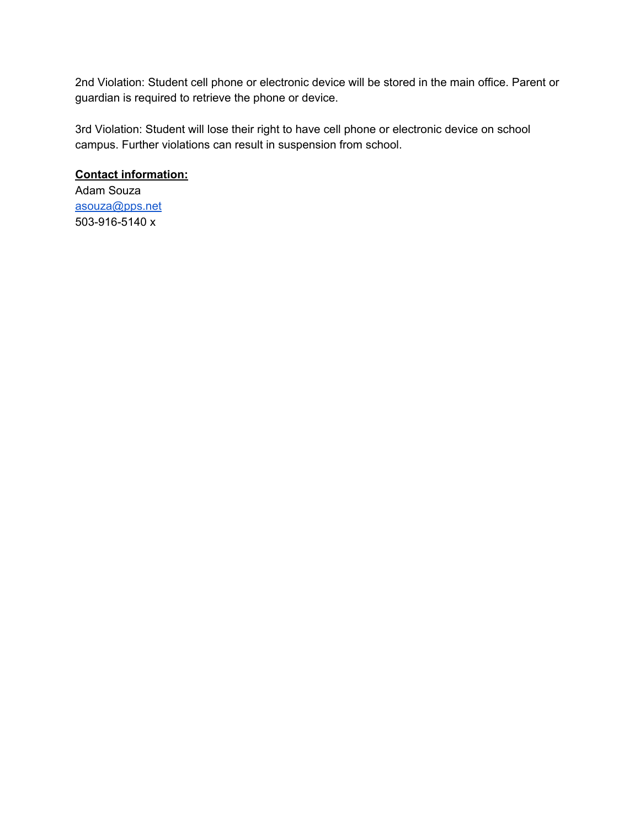2nd Violation: Student cell phone or electronic device will be stored in the main office. Parent or guardian is required to retrieve the phone or device.

3rd Violation: Student will lose their right to have cell phone or electronic device on school campus. Further violations can result in suspension from school.

# **Contact information:**

Adam Souza [asouza@pps.net](mailto:asouza@pps.net) 503-916-5140 x